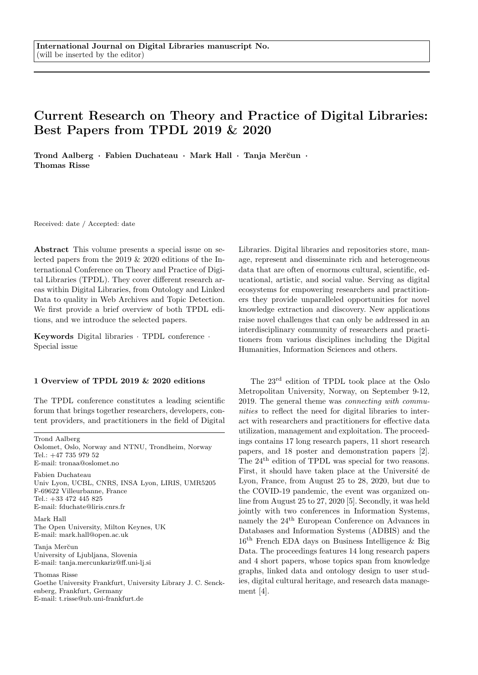## Current Research on Theory and Practice of Digital Libraries: Best Papers from TPDL 2019 & 2020

Trond Aalberg · Fabien Duchateau · Mark Hall · Tanja Merčun · Thomas Risse

Received: date / Accepted: date

Abstract This volume presents a special issue on selected papers from the 2019 & 2020 editions of the International Conference on Theory and Practice of Digital Libraries (TPDL). They cover different research areas within Digital Libraries, from Ontology and Linked Data to quality in Web Archives and Topic Detection. We first provide a brief overview of both TPDL editions, and we introduce the selected papers.

Keywords Digital libraries · TPDL conference · Special issue

## 1 Overview of TPDL 2019 & 2020 editions

The TPDL conference constitutes a leading scientific forum that brings together researchers, developers, content providers, and practitioners in the field of Digital

Trond Aalberg Oslomet, Oslo, Norway and NTNU, Trondheim, Norway  $Tel \cdot +47$  735 979 52 E-mail: tronaa@oslomet.no

Fabien Duchateau Univ Lyon, UCBL, CNRS, INSA Lyon, LIRIS, UMR5205 F-69622 Villeurbanne, France Tel.: +33 472 445 825 E-mail: fduchate@liris.cnrs.fr

Mark Hall The Open University, Milton Keynes, UK E-mail: mark.hall@open.ac.uk

Tanja Merčun University of Ljubljana, Slovenia E-mail: tanja.mercunkariz@ff.uni-lj.si

Thomas Risse

Goethe University Frankfurt, University Library J. C. Senckenberg, Frankfurt, Germany E-mail: t.risse@ub.uni-frankfurt.de

Libraries. Digital libraries and repositories store, manage, represent and disseminate rich and heterogeneous data that are often of enormous cultural, scientific, educational, artistic, and social value. Serving as digital ecosystems for empowering researchers and practitioners they provide unparalleled opportunities for novel knowledge extraction and discovery. New applications raise novel challenges that can only be addressed in an interdisciplinary community of researchers and practitioners from various disciplines including the Digital Humanities, Information Sciences and others.

The 23rd edition of TPDL took place at the Oslo Metropolitan University, Norway, on September 9-12, 2019. The general theme was connecting with communities to reflect the need for digital libraries to interact with researchers and practitioners for effective data utilization, management and exploitation. The proceedings contains 17 long research papers, 11 short research papers, and 18 poster and demonstration papers [2]. The  $24<sup>th</sup>$  edition of TPDL was special for two reasons. First, it should have taken place at the Université de Lyon, France, from August 25 to 28, 2020, but due to the COVID-19 pandemic, the event was organized online from August 25 to 27, 2020 [5]. Secondly, it was held jointly with two conferences in Information Systems, namely the 24th European Conference on Advances in Databases and Information Systems (ADBIS) and the 16th French EDA days on Business Intelligence & Big Data. The proceedings features 14 long research papers and 4 short papers, whose topics span from knowledge graphs, linked data and ontology design to user studies, digital cultural heritage, and research data management [4].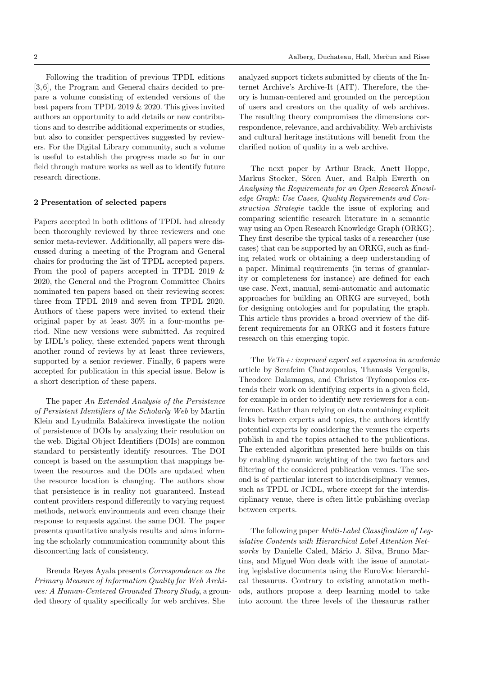Following the tradition of previous TPDL editions [3, 6], the Program and General chairs decided to prepare a volume consisting of extended versions of the best papers from TPDL 2019 & 2020. This gives invited authors an opportunity to add details or new contributions and to describe additional experiments or studies, but also to consider perspectives suggested by reviewers. For the Digital Library community, such a volume is useful to establish the progress made so far in our field through mature works as well as to identify future research directions.

## 2 Presentation of selected papers

Papers accepted in both editions of TPDL had already been thoroughly reviewed by three reviewers and one senior meta-reviewer. Additionally, all papers were discussed during a meeting of the Program and General chairs for producing the list of TPDL accepted papers. From the pool of papers accepted in TPDL 2019 & 2020, the General and the Program Committee Chairs nominated ten papers based on their reviewing scores: three from TPDL 2019 and seven from TPDL 2020. Authors of these papers were invited to extend their original paper by at least 30% in a four-months period. Nine new versions were submitted. As required by IJDL's policy, these extended papers went through another round of reviews by at least three reviewers, supported by a senior reviewer. Finally, 6 papers were accepted for publication in this special issue. Below is a short description of these papers.

The paper An Extended Analysis of the Persistence of Persistent Identifiers of the Scholarly Web by Martin Klein and Lyudmila Balakireva investigate the notion of persistence of DOIs by analyzing their resolution on the web. Digital Object Identifiers (DOIs) are common standard to persistently identify resources. The DOI concept is based on the assumption that mappings between the resources and the DOIs are updated when the resource location is changing. The authors show that persistence is in reality not guaranteed. Instead content providers respond differently to varying request methods, network environments and even change their response to requests against the same DOI. The paper presents quantitative analysis results and aims informing the scholarly communication community about this disconcerting lack of consistency.

Brenda Reyes Ayala presents Correspondence as the Primary Measure of Information Quality for Web Archives: A Human-Centered Grounded Theory Study, a grounded theory of quality specifically for web archives. She

analyzed support tickets submitted by clients of the Internet Archive's Archive-It (AIT). Therefore, the theory is human-centered and grounded on the perception of users and creators on the quality of web archives. The resulting theory compromises the dimensions correspondence, relevance, and archivability. Web archivists and cultural heritage institutions will benefit from the clarified notion of quality in a web archive.

The next paper by Arthur Brack, Anett Hoppe, Markus Stocker, Sören Auer, and Ralph Ewerth on Analysing the Requirements for an Open Research Knowledge Graph: Use Cases, Quality Requirements and Construction Strategie tackle the issue of exploring and comparing scientific research literature in a semantic way using an Open Research Knowledge Graph (ORKG). They first describe the typical tasks of a researcher (use cases) that can be supported by an ORKG, such as finding related work or obtaining a deep understanding of a paper. Minimal requirements (in terms of granularity or completeness for instance) are defined for each use case. Next, manual, semi-automatic and automatic approaches for building an ORKG are surveyed, both for designing ontologies and for populating the graph. This article thus provides a broad overview of the different requirements for an ORKG and it fosters future research on this emerging topic.

The  $VeTo +: improved$  expert set expansion in academia article by Serafeim Chatzopoulos, Thanasis Vergoulis, Theodore Dalamagas, and Christos Tryfonopoulos extends their work on identifying experts in a given field, for example in order to identify new reviewers for a conference. Rather than relying on data containing explicit links between experts and topics, the authors identify potential experts by considering the venues the experts publish in and the topics attached to the publications. The extended algorithm presented here builds on this by enabling dynamic weighting of the two factors and filtering of the considered publication venues. The second is of particular interest to interdisciplinary venues, such as TPDL or JCDL, where except for the interdisciplinary venue, there is often little publishing overlap between experts.

The following paper Multi-Label Classification of Legislative Contents with Hierarchical Label Attention Networks by Danielle Caled, Mário J. Silva, Bruno Martins, and Miguel Won deals with the issue of annotating legislative documents using the EuroVoc hierarchical thesaurus. Contrary to existing annotation methods, authors propose a deep learning model to take into account the three levels of the thesaurus rather